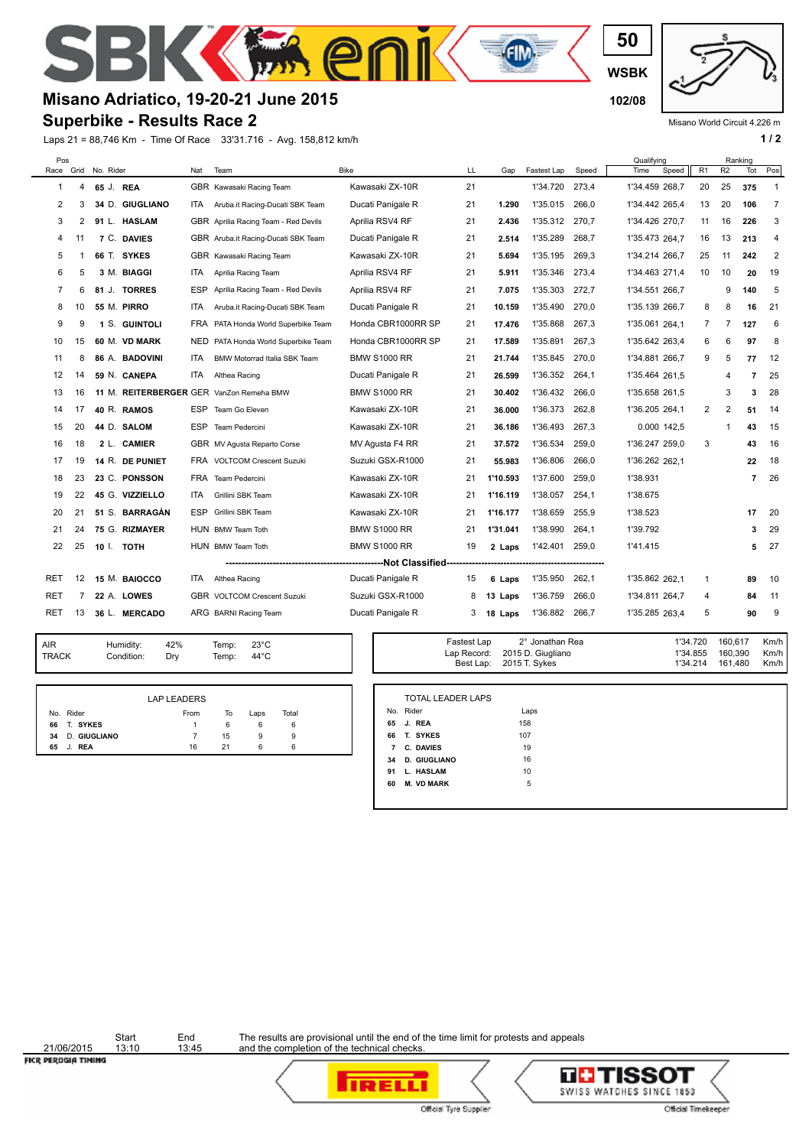**WSBK**

**50**

**EM** 

## **Misano Adriatico, 19-20-21 June 2015 102/08**

## **Superbike - Results Race 2**

S

Laps 21 = 88,746 Km - Time Of Race 33'31.716 - Avg. 158,812 km/h **1 and 2 1 / 2** 

Misano World Circuit 4.226 m

| Pos            |    | Race Grid No. Rider |                    | Nat        | Team                                     | <b>Bike</b>         | LL | Gap      | Fastest Lap | Speed | Qualifying<br>Speed<br>Time | R <sub>1</sub> | R <sub>2</sub> | Ranking<br>Tot | Pos            |
|----------------|----|---------------------|--------------------|------------|------------------------------------------|---------------------|----|----------|-------------|-------|-----------------------------|----------------|----------------|----------------|----------------|
| 1              | 4  | 65 J. REA           |                    |            | GBR Kawasaki Racing Team                 | Kawasaki ZX-10R     | 21 |          | 1'34.720    | 273,4 | 1'34.459 268,7              | 20             | 25             | 375            | $\overline{1}$ |
| 2              | 3  |                     | 34 D. GIUGLIANO    | ITA.       | Aruba.it Racing-Ducati SBK Team          | Ducati Panigale R   | 21 | 1.290    | 1'35.015    | 266,0 | 1'34.442 265.4              | 13             | 20             | 106            | $\overline{7}$ |
| 3              | 2  |                     | 91 L. HASLAM       |            | GBR Aprilia Racing Team - Red Devils     | Aprilia RSV4 RF     | 21 | 2.436    | 1'35.312    | 270.7 | 1'34.426 270,7              | 11             | 16             | 226            | 3              |
| 4              | 11 |                     | 7 C. DAVIES        |            | GBR Aruba.it Racing-Ducati SBK Team      | Ducati Panigale R   | 21 | 2.514    | 1'35.289    | 268.7 | 1'35.473 264.7              | 16             | 13             | 213            | 4              |
| 5              |    |                     | 66 T. SYKES        |            | GBR Kawasaki Racing Team                 | Kawasaki ZX-10R     | 21 | 5.694    | 1'35.195    | 269,3 | 1'34.214 266,7              | 25             | 11             | 242            | $\overline{2}$ |
| 6              | 5  |                     | 3 M. BIAGGI        | ITA.       | Aprilia Racing Team                      | Aprilia RSV4 RF     | 21 | 5.911    | 1'35.346    | 273.4 | 1'34.463 271.4              | 10             | 10             | 20             | 19             |
| $\overline{7}$ | 6  |                     | 81 J. TORRES       | ESP        | Aprilia Racing Team - Red Devils         | Aprilia RSV4 RF     | 21 | 7.075    | 1'35.303    | 272,7 | 1'34.551 266,7              |                | 9              | 140            | 5              |
| 8              | 10 |                     | <b>55 M. PIRRO</b> | ITA.       | Aruba.it Racing-Ducati SBK Team          | Ducati Panigale R   | 21 | 10.159   | 1'35.490    | 270.0 | 1'35.139 266,7              | 8              | 8              | 16             | 21             |
| 9              | 9  |                     | 1 S. GUINTOLI      |            | FRA PATA Honda World Superbike Team      | Honda CBR1000RR SP  | 21 | 17.476   | 1'35.868    | 267,3 | 1'35.061 264,1              | $\overline{7}$ | $\overline{7}$ | 127            | 6              |
| 10             | 15 |                     | 60 M. VD MARK      | <b>NED</b> | PATA Honda World Superbike Team          | Honda CBR1000RR SP  | 21 | 17.589   | 1'35.891    | 267.3 | 1'35.642 263.4              | 6              | 6              | 97             | 8              |
| 11             | 8  |                     | 86 A. BADOVINI     | ITA.       | BMW Motorrad Italia SBK Team             | <b>BMW S1000 RR</b> | 21 | 21.744   | 1'35.845    | 270.0 | 1'34.881 266,7              | 9              | 5              | 77             | 12             |
| 12             | 14 |                     | 59 N. CANEPA       | ITA.       | Althea Racing                            | Ducati Panigale R   | 21 | 26.599   | 1'36.352    | 264,1 | 1'35.464 261.5              |                | 4              | $\overline{7}$ | 25             |
| 13             | 16 |                     |                    |            | 11 M. REITERBERGER GER VanZon Remeha BMW | <b>BMW S1000 RR</b> | 21 | 30.402   | 1'36.432    | 266.0 | 1'35.658 261.5              |                | 3              | 3              | 28             |
| 14             | 17 |                     | 40 R. RAMOS        |            | ESP Team Go Eleven                       | Kawasaki ZX-10R     | 21 | 36.000   | 1'36.373    | 262,8 | 1'36.205 264,1              | $\overline{2}$ | 2              | 51             | 14             |
| 15             | 20 |                     | 44 D. SALOM        | <b>ESP</b> | Team Pedercini                           | Kawasaki ZX-10R     | 21 | 36.186   | 1'36.493    | 267.3 | 0.000 142.5                 |                | 1              | 43             | 15             |
| 16             | 18 |                     | 2 L. CAMIER        |            | GBR MV Agusta Reparto Corse              | MV Agusta F4 RR     | 21 | 37.572   | 1'36.534    | 259,0 | 1'36.247 259,0              | 3              |                | 43             | 16             |
| 17             | 19 |                     | 14 R. DE PUNIET    |            | FRA VOLTCOM Crescent Suzuki              | Suzuki GSX-R1000    | 21 | 55.983   | 1'36.806    | 266.0 | 1'36.262 262.1              |                |                | 22             | 18             |
| 18             | 23 |                     | 23 C. PONSSON      |            | FRA Team Pedercini                       | Kawasaki ZX-10R     | 21 | 1'10.593 | 1'37.600    | 259.0 | 1'38.931                    |                |                | $\overline{7}$ | 26             |
| 19             | 22 |                     | 45 G. VIZZIELLO    | ITA.       | Grillini SBK Team                        | Kawasaki ZX-10R     | 21 | 1'16.119 | 1'38.057    | 254.1 | 1'38.675                    |                |                |                |                |
| 20             | 21 |                     | 51 S. BARRAGÁN     | ESP        | Grillini SBK Team                        | Kawasaki ZX-10R     | 21 | 1'16.177 | 1'38.659    | 255,9 | 1'38.523                    |                |                | 17             | 20             |
| 21             | 24 |                     | 75 G. RIZMAYER     |            | HUN BMW Team Toth                        | <b>BMW S1000 RR</b> | 21 | 1'31.041 | 1'38.990    | 264.1 | 1'39.792                    |                |                | 3              | 29             |
| 22             | 25 | 10 $\mathsf{I}$ .   | <b>TOTH</b>        |            | HUN BMW Team Toth                        | <b>BMW S1000 RR</b> | 19 | 2 Laps   | 1'42.401    | 259,0 | 1'41.415                    |                |                | 5              | 27             |
|                |    |                     |                    |            |                                          |                     |    |          |             |       |                             |                |                |                |                |
| RET            | 12 |                     | 15 M. BAIOCCO      | ITA.       | Althea Racing                            | Ducati Panigale R   | 15 | 6 Laps   | 1'35.950    | 262,1 | 1'35.862 262,1              | 1              |                | 89             | 10             |
| RET            | 7  |                     | 22 A. LOWES        |            | <b>GBR</b> VOLTCOM Crescent Suzuki       | Suzuki GSX-R1000    | 8  | 13 Laps  | 1'36.759    | 266,0 | 1'34.811 264,7              | 4              |                | 84             | 11             |
| RET            | 13 |                     | 36 L. MERCADO      |            | ARG BARNI Racing Team                    | Ducati Panigale R   | 3  | 18 Laps  | 1'36.882    | 266,7 | 1'35.285 263,4              | 5              |                | 90             | 9              |

 $\Theta$ 

| AIR          | Humidity:  | 42% | Temp: | $23^{\circ}$ C |
|--------------|------------|-----|-------|----------------|
| <b>TRACK</b> | Condition: | Dry | Temp: | 44°C           |
|              |            |     |       |                |

|                 | <b>LAP LEADERS</b> |    |      |       |
|-----------------|--------------------|----|------|-------|
| No. Rider       | From               | To | Laps | Total |
| 66 T. SYKES     |                    | 6  | 6    | 6     |
| 34 D. GIUGLIANO |                    | 15 | 9    | 9     |
| J. REA<br>65    | 16                 | 21 | 6    | 6     |

|    | <b>TOTAL LEADER LAPS</b> |      |
|----|--------------------------|------|
|    | No. Rider                | Laps |
| 65 | J. REA                   | 158  |
| 66 | T. SYKES                 | 107  |
| 7  | C. DAVIES                | 19   |
| 34 | <b>D. GIUGLIANO</b>      | 16   |
| 91 | L. HASLAM                | 10   |
| 60 | <b>M. VD MARK</b>        | 5    |

21/06/2015<br>FICR PERUGIA TIMING

Start End<br>13:10 13:45

The results are provisional until the end of the time limit for protests and appeals and the completion of the technical checks.